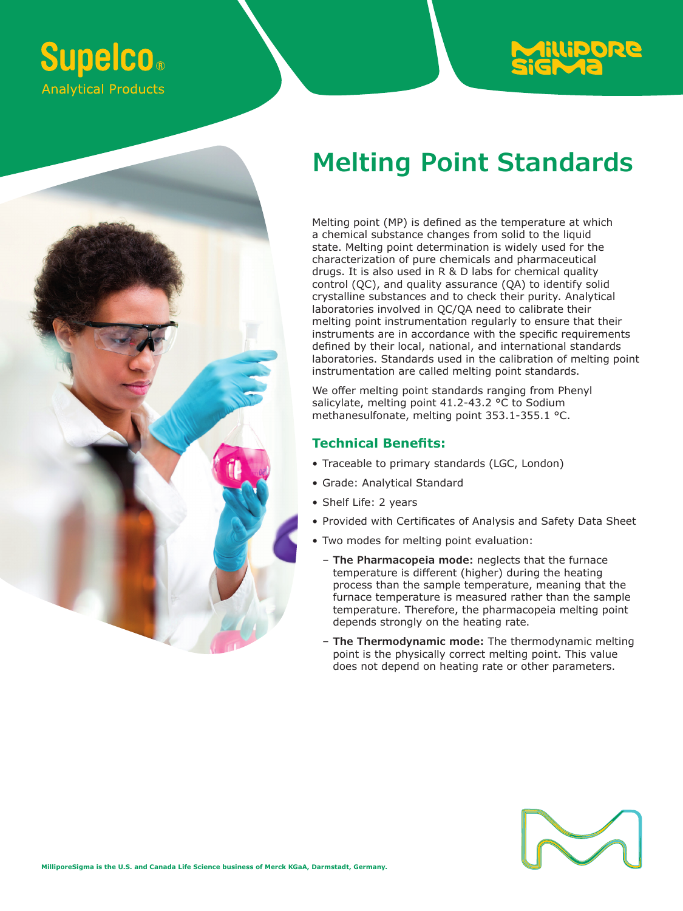# **Supelco® Analytical Products**





Melting point (MP) is defined as the temperature at which a chemical substance changes from solid to the liquid state. Melting point determination is widely used for the characterization of pure chemicals and pharmaceutical drugs. It is also used in R & D labs for chemical quality control (QC), and quality assurance (QA) to identify solid crystalline substances and to check their purity. Analytical laboratories involved in QC/QA need to calibrate their melting point instrumentation regularly to ensure that their instruments are in accordance with the specific requirements defined by their local, national, and international standards laboratories. Standards used in the calibration of melting point instrumentation are called melting point standards.

We offer melting point standards ranging from Phenyl salicylate, melting point 41.2-43.2 °C to Sodium methanesulfonate, melting point 353.1-355.1 °C.

## **Technical Benefits:**

- Traceable to primary standards (LGC, London)
- Grade: Analytical Standard
- Shelf Life: 2 years
- Provided with Certificates of Analysis and Safety Data Sheet
- Two modes for melting point evaluation:
	- **The Pharmacopeia mode:** neglects that the furnace temperature is different (higher) during the heating process than the sample temperature, meaning that the furnace temperature is measured rather than the sample temperature. Therefore, the pharmacopeia melting point depends strongly on the heating rate.
	- **The Thermodynamic mode:** The thermodynamic melting point is the physically correct melting point. This value does not depend on heating rate or other parameters.



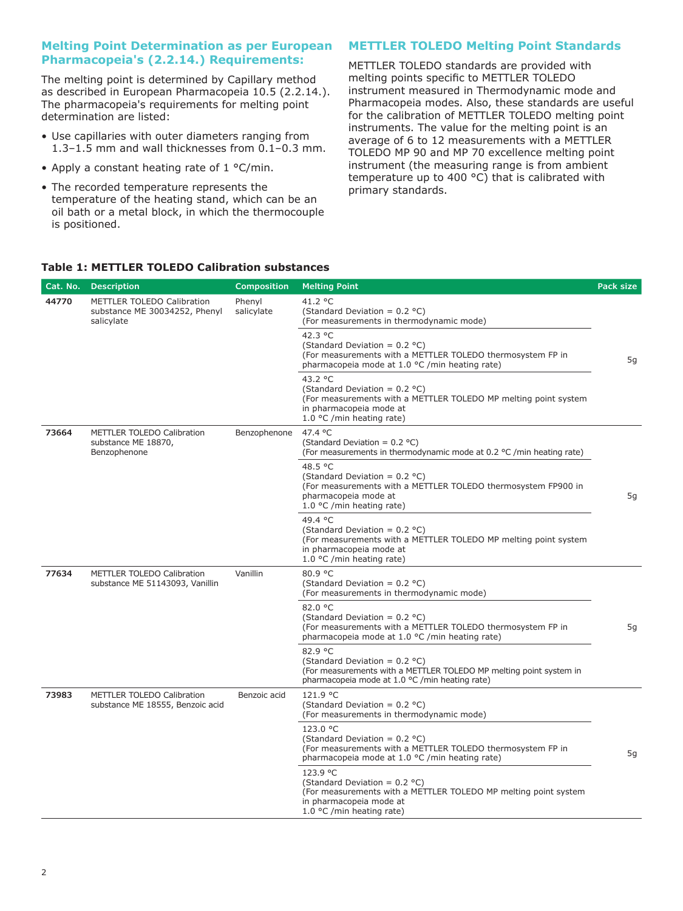## **Melting Point Determination as per European Pharmacopeia's (2.2.14.) Requirements:**

The melting point is determined by Capillary method as described in European Pharmacopeia 10.5 (2.2.14.). The pharmacopeia's requirements for melting point determination are listed:

- Use capillaries with outer diameters ranging from 1.3–1.5 mm and wall thicknesses from 0.1–0.3 mm.
- Apply a constant heating rate of 1 °C/min.
- The recorded temperature represents the temperature of the heating stand, which can be an oil bath or a metal block, in which the thermocouple is positioned.

## **METTLER TOLEDO Melting Point Standards**

METTLER TOLEDO standards are provided with melting points specific to METTLER TOLEDO instrument measured in Thermodynamic mode and Pharmacopeia modes. Also, these standards are useful for the calibration of METTLER TOLEDO melting point instruments. The value for the melting point is an average of 6 to 12 measurements with a METTLER TOLEDO MP 90 and MP 70 excellence melting point instrument (the measuring range is from ambient temperature up to 400  $^{\circ}$ C) that is calibrated with primary standards.

#### **Cat. No. Description Composition Melting Point Pack size [44770](https://www.sigmaaldrich.com/US/en/product/sial/44770?context=product)** METTLER TOLEDO Calibration substance ME 30034252, Phenyl salicylate Phenyl salicylate 41.2 °C (Standard Deviation =  $0.2$  °C) (For measurements in thermodynamic mode) 5g 42.3 °C (Standard Deviation =  $0.2$  °C) (For measurements with a METTLER TOLEDO thermosystem FP in pharmacopeia mode at 1.0 °C /min heating rate) 43.2 °C (Standard Deviation =  $0.2$  °C) (For measurements with a METTLER TOLEDO MP melting point system in pharmacopeia mode at 1.0 °C /min heating rate) **[73664](https://www.sigmaaldrich.com/US/en/product/sial/73664?context=product) METTLER TOLEDO Calibration** substance ME 18870, Benzophenone Benzophenone 47.4 °C (Standard Deviation =  $0.2$  °C) (For measurements in thermodynamic mode at 0.2 °C /min heating rate) 5g 48.5 °C (Standard Deviation = 0.2 °C) (For measurements with a METTLER TOLEDO thermosystem FP900 in pharmacopeia mode at 1.0 °C /min heating rate) 49.4 °C (Standard Deviation =  $0.2$  °C) (For measurements with a METTLER TOLEDO MP melting point system in pharmacopeia mode at 1.0 °C /min heating rate) **[77634](https://www.sigmaaldrich.com/US/en/product/sial/77634?context=product)** METTLER TOLEDO Calibration substance ME 51143093, Vanillin Vanillin 80.9 °C (Standard Deviation =  $0.2$  °C) (For measurements in thermodynamic mode) 5g 82.0 °C (Standard Deviation =  $0.2 \text{ }^{\circ}$ C) (For measurements with a METTLER TOLEDO thermosystem FP in pharmacopeia mode at 1.0 °C /min heating rate) 82.9 °C (Standard Deviation =  $0.2$  °C) (For measurements with a METTLER TOLEDO MP melting point system in pharmacopeia mode at 1.0 °C /min heating rate) **[73983](https://www.sigmaaldrich.com/US/en/product/sial/73983?context=product)** METTLER TOLEDO Calibration substance ME 18555, Benzoic acid Benzoic acid 121.9 °C (Standard Deviation =  $0.2$  °C) (For measurements in thermodynamic mode) 5g 123.0 °C (Standard Deviation =  $0.2$  °C) (For measurements with a METTLER TOLEDO thermosystem FP in pharmacopeia mode at 1.0 °C /min heating rate) 123.9 °C (Standard Deviation =  $0.2$  °C) (For measurements with a METTLER TOLEDO MP melting point system in pharmacopeia mode at 1.0 °C /min heating rate)

## **Table 1: METTLER TOLEDO Calibration substances**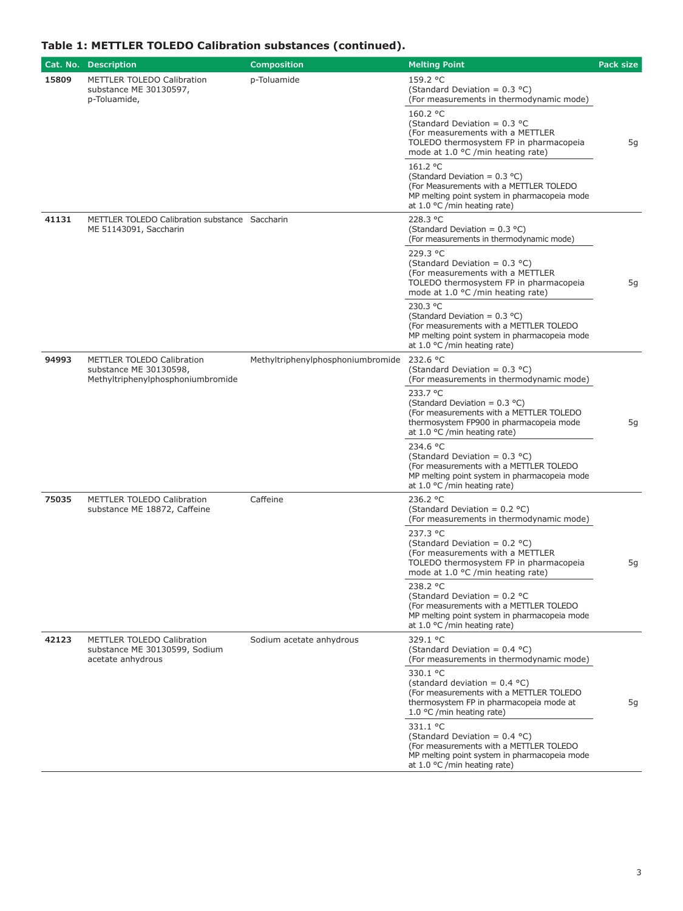## **Table 1: METTLER TOLEDO Calibration substances (continued).**

|       | Cat. No. Description                                                                      | <b>Composition</b>                | <b>Melting Point</b>                                                                                                                                                            | Pack size |
|-------|-------------------------------------------------------------------------------------------|-----------------------------------|---------------------------------------------------------------------------------------------------------------------------------------------------------------------------------|-----------|
| 15809 | METTLER TOLEDO Calibration<br>substance ME 30130597,<br>p-Toluamide,                      | p-Toluamide                       | 159.2 °C<br>(Standard Deviation = 0.3 °C)<br>(For measurements in thermodynamic mode)                                                                                           |           |
|       |                                                                                           |                                   | 160.2 °C<br>(Standard Deviation = $0.3$ °C<br>(For measurements with a METTLER<br>TOLEDO thermosystem FP in pharmacopeia<br>mode at 1.0 °C /min heating rate)                   | 5g        |
|       |                                                                                           |                                   | 161.2 °C<br>(Standard Deviation = $0.3$ °C)<br>(For Measurements with a METTLER TOLEDO<br>MP melting point system in pharmacopeia mode<br>at 1.0 $\degree$ C /min heating rate) |           |
| 41131 | METTLER TOLEDO Calibration substance Saccharin<br>ME 51143091, Saccharin                  |                                   | 228.3 °C<br>(Standard Deviation = 0.3 °C)<br>(For measurements in thermodynamic mode)                                                                                           |           |
|       |                                                                                           |                                   | 229.3 °C<br>(Standard Deviation = $0.3$ °C)<br>(For measurements with a METTLER<br>TOLEDO thermosystem FP in pharmacopeia<br>mode at 1.0 °C /min heating rate)                  | 5g        |
|       |                                                                                           |                                   | 230.3 °C<br>(Standard Deviation = 0.3 °C)<br>(For measurements with a METTLER TOLEDO<br>MP melting point system in pharmacopeia mode<br>at 1.0 $\degree$ C /min heating rate)   |           |
| 94993 | METTLER TOLEDO Calibration<br>substance ME 30130598,<br>Methyltriphenylphosphoniumbromide | Methyltriphenylphosphoniumbromide | 232.6 °C<br>(Standard Deviation = 0.3 °C)<br>(For measurements in thermodynamic mode)                                                                                           |           |
|       |                                                                                           |                                   | 233.7 °C<br>(Standard Deviation = $0.3$ °C)<br>(For measurements with a METTLER TOLEDO<br>thermosystem FP900 in pharmacopeia mode<br>at 1.0 $\degree$ C / min heating rate)     | 5g        |
|       |                                                                                           |                                   | 234.6 °C<br>(Standard Deviation = $0.3$ °C)<br>(For measurements with a METTLER TOLEDO<br>MP melting point system in pharmacopeia mode<br>at 1.0 $\degree$ C /min heating rate) |           |
| 75035 | METTLER TOLEDO Calibration<br>substance ME 18872, Caffeine                                | Caffeine                          | 236.2 °C<br>(Standard Deviation = 0.2 °C)<br>(For measurements in thermodynamic mode)                                                                                           |           |
|       |                                                                                           |                                   | 237.3 °C<br>(Standard Deviation = 0.2 °C)<br>(For measurements with a METTLER<br>TOLEDO thermosystem FP in pharmacopeia<br>mode at 1.0 °C /min heating rate)                    | 5g        |
|       |                                                                                           |                                   | 238.2 °C<br>(Standard Deviation = $0.2$ °C<br>(For measurements with a METTLER TOLEDO<br>MP melting point system in pharmacopeia mode<br>at 1.0 $\degree$ C /min heating rate)  |           |
| 42123 | <b>METTLER TOLEDO Calibration</b><br>substance ME 30130599, Sodium<br>acetate anhydrous   | Sodium acetate anhydrous          | 329.1 °C<br>(Standard Deviation = $0.4$ °C)<br>(For measurements in thermodynamic mode)                                                                                         |           |
|       |                                                                                           |                                   | 330.1 °C<br>(standard deviation = $0.4$ °C)<br>(For measurements with a METTLER TOLEDO<br>thermosystem FP in pharmacopeia mode at<br>1.0 °C /min heating rate)                  | 5g        |
|       |                                                                                           |                                   | 331.1 °C<br>(Standard Deviation = 0.4 °C)<br>(For measurements with a METTLER TOLEDO<br>MP melting point system in pharmacopeia mode<br>at 1.0 $\degree$ C /min heating rate)   |           |